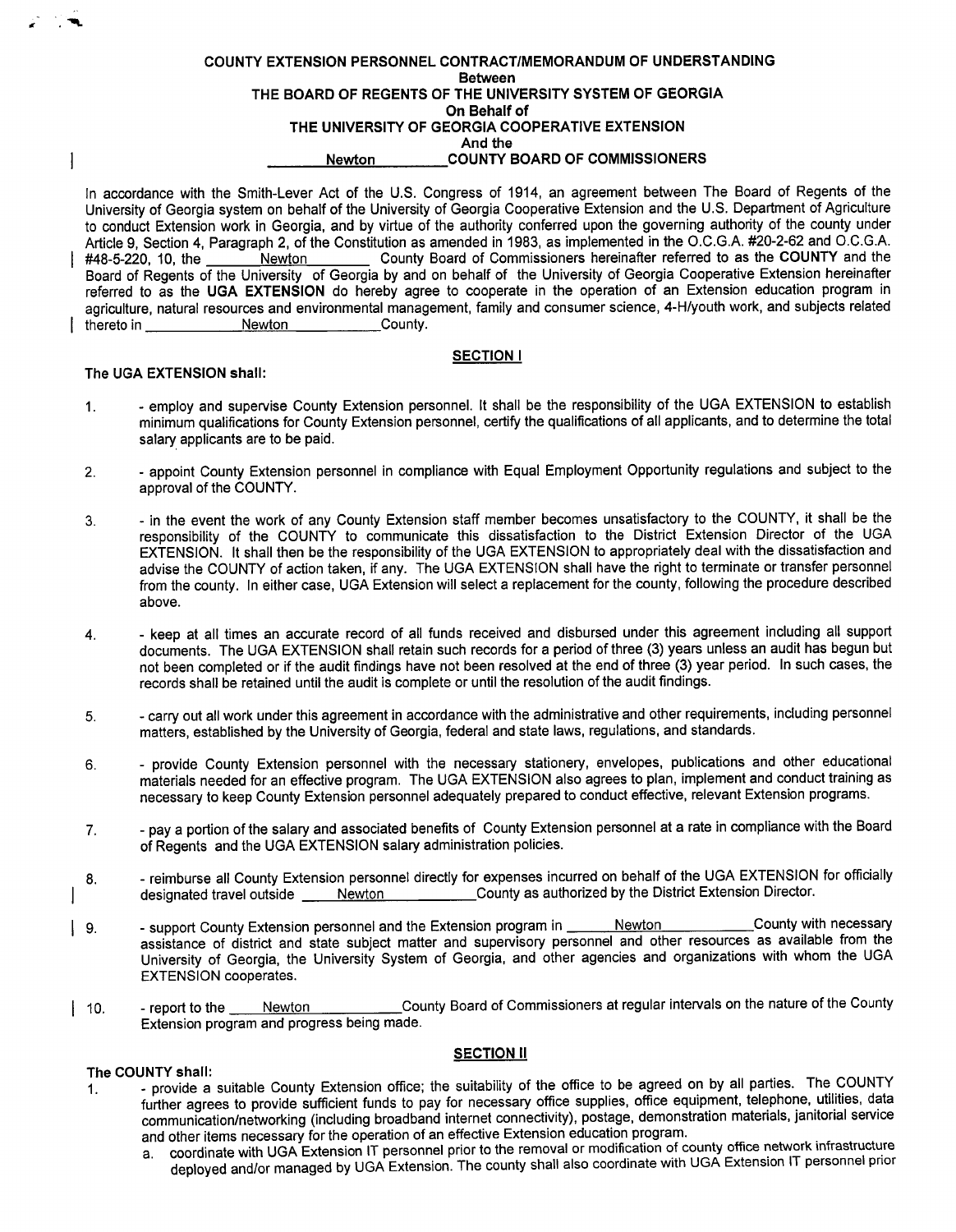### COUNTY EXTENSION PERSONNEL CONTRACT/MEMORANDUM OF UNDERSTANDING Between THE BOARD OF REGENTS OF THE UNIVERSITY SYSTEM OF GEORGIA On Behalf of THE UNIVERSITY OF GEORGIA COOPERATIVE EXTENSION And the Newton COUNTY BOARD OF COMMISSIONERS

In accordance with the Smith-Lever Act of the U.S. Congress of 1914, an agreement between The Board of Regents of the University of Georgia system on behalf of the University of Georgia Cooperative Extension and the U. S. Department of Agriculture to conduct Extension work in Georgia, and by virtue of the authority conferred upon the governing authority of the county under Article 9, Section 4, Paragraph 2, of the Constitution as amended in 1983, as implemented in the O.C.G.A. #20-2-62 and O.C.G.A. #48-5-220, 10, the Newton County Board of Commissioners hereinafter referred to as the COUNTY and the Board of Regents of the University of Georgia by and on behalf of the University of Georgia Cooperative Extension hereinafter referred to as the UGA EXTENSION do hereby agree to cooperate in the operation of an Extension education program in agriculture, natural resources and environmental management, family and consumer science, 4-H/youth work, and subjects related<br>thereto in<br>County. thereto in

# SECTION <sup>I</sup>

# The UGA EXTENSION shall:

- 1. employ and supervise County Extension personnel. It shall be the responsibility of the UGA EXTENSION to establish minimum qualifications for County Extension personnel, certify the qualifications of all applicants, and to determine the total salary applicants are to be paid.
- 2. appoint County Extension personnel in compliance with Equal Employment Opportunity regulations and subject to the approval of the COUNTY.
- 3. in the event the work of any County Extension staff member becomes unsatisfactory to the COUNTY, it shall be the responsibility of the COUNTY to communicate this dissatisfaction to the District Extension Director of the UGA EXTENSION. It shall then be the responsibility of the UGA EXTENSION to appropriately deal with the dissatisfaction and advise the COUNTY of action taken, if any. The UGA EXTENSION shall have the right to terminate or transfer personnel from the county. In either case, UGA Extension will select a replacement for the county, following the procedure described above.
- 4. keep at all times an accurate record of all funds received and disbursed under this agreement including all support documents. The UGA EXTENSION shall retain such records for a period of three (3) years unless an audit has begun but not been completed or if the audit findings have not been resolved at the end of three (3) year period. In such cases, the records shall be retained until the audit is complete or until the resolution of the audit findings.
- 5. carry out all work under this agreement in accordance with the administrative and other requirements, including personnel matters, established by the University of Georgia, federal and state laws, regulations, and standards.
- 6. provide County Extension personnel with the necessary stationery, envelopes, publications and other educational materials needed for an effective program. The UGA EXTENSION also agrees to plan, implement and conduct training as necessary to keep County Extension personnel adequately prepared to conduct effective, relevant Extension programs.
- 7. pay a portion of the salary and associated benefits of County Extension personnel at a rate in compliance with the Board of Regents and the UGA EXTENSION salary administration policies.
- 8. Feimburse all County Extension personnel directly for expenses incurred on behalf of the UGA EXTENSION for officially designated travel outside \_\_\_\_\_ Newton \_\_\_\_\_\_\_\_\_\_\_\_\_County as authorized by the District Extension Director.
- 9. Support County Extension personnel and the Extension program in Newton County with necessary assistance of district and state subject matter and supervisory personnel and other resources as available from the University of Georgia, the University System of Georgia, and other agencies and organizations with whom the UGA EXTENSION cooperates.
- 10. report to the <u>Newton County</u> Board of Commissioners at regular intervals on the nature of the County Extension program and progress being made.

# **SECTION II**

## The COUNTY shall:

- 1. provide <sup>a</sup> suitable County Extension office; the suitability of the office to be agreed on by all parties. The COUNTY further agrees to provide sufficient funds to pay for necessary office supplies, office equipment, telephone, utilities, data communication/networking (including broadband internet connectivity), postage, demonstration materials, janitorial service<br>and other items necessary for the operation of an effective Extension education program. and other items necessary for the operation of an effective Extension education program.
	- a. coordinate with UGA Extension IT personnel prior to the removal or modification of county office network infrastructure deployed and/or managed by UGA Extension. The county shall also coordinate with UGA Extension IT personnel prior